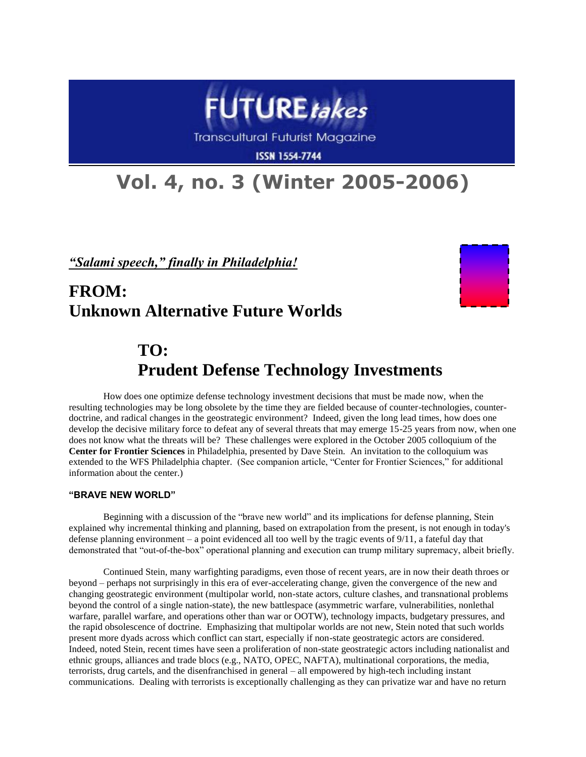

**Transcultural Futurist Magazine** 

**ISSN 1554-7744** 

# **Vol. 4, no. 3 (Winter 2005-2006)**

*"Salami speech," finally in Philadelphia!*

# **FROM: Unknown Alternative Future Worlds**



# **TO: Prudent Defense Technology Investments**

How does one optimize defense technology investment decisions that must be made now, when the resulting technologies may be long obsolete by the time they are fielded because of counter-technologies, counterdoctrine, and radical changes in the geostrategic environment? Indeed, given the long lead times, how does one develop the decisive military force to defeat any of several threats that may emerge 15-25 years from now, when one does not know what the threats will be? These challenges were explored in the October 2005 colloquium of the **Center for Frontier Sciences** in Philadelphia, presented by Dave Stein. An invitation to the colloquium was extended to the WFS Philadelphia chapter. (See companion article, "Center for Frontier Sciences," for additional information about the center.)

### **"BRAVE NEW WORLD"**

Beginning with a discussion of the "brave new world" and its implications for defense planning, Stein explained why incremental thinking and planning, based on extrapolation from the present, is not enough in today's defense planning environment – a point evidenced all too well by the tragic events of 9/11, a fateful day that demonstrated that "out-of-the-box" operational planning and execution can trump military supremacy, albeit briefly.

Continued Stein, many warfighting paradigms, even those of recent years, are in now their death throes or beyond – perhaps not surprisingly in this era of ever-accelerating change, given the convergence of the new and changing geostrategic environment (multipolar world, non-state actors, culture clashes, and transnational problems beyond the control of a single nation-state), the new battlespace (asymmetric warfare, vulnerabilities, nonlethal warfare, parallel warfare, and operations other than war or OOTW), technology impacts, budgetary pressures, and the rapid obsolescence of doctrine. Emphasizing that multipolar worlds are not new, Stein noted that such worlds present more dyads across which conflict can start, especially if non-state geostrategic actors are considered. Indeed, noted Stein, recent times have seen a proliferation of non-state geostrategic actors including nationalist and ethnic groups, alliances and trade blocs (e.g., NATO, OPEC, NAFTA), multinational corporations, the media, terrorists, drug cartels, and the disenfranchised in general – all empowered by high-tech including instant communications. Dealing with terrorists is exceptionally challenging as they can privatize war and have no return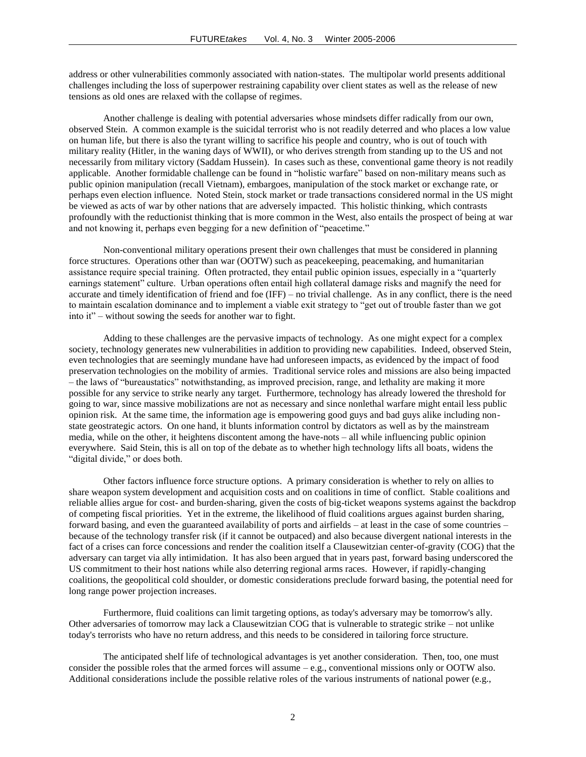address or other vulnerabilities commonly associated with nation-states. The multipolar world presents additional challenges including the loss of superpower restraining capability over client states as well as the release of new tensions as old ones are relaxed with the collapse of regimes.

Another challenge is dealing with potential adversaries whose mindsets differ radically from our own, observed Stein. A common example is the suicidal terrorist who is not readily deterred and who places a low value on human life, but there is also the tyrant willing to sacrifice his people and country, who is out of touch with military reality (Hitler, in the waning days of WWII), or who derives strength from standing up to the US and not necessarily from military victory (Saddam Hussein). In cases such as these, conventional game theory is not readily applicable. Another formidable challenge can be found in "holistic warfare" based on non-military means such as public opinion manipulation (recall Vietnam), embargoes, manipulation of the stock market or exchange rate, or perhaps even election influence. Noted Stein, stock market or trade transactions considered normal in the US might be viewed as acts of war by other nations that are adversely impacted. This holistic thinking, which contrasts profoundly with the reductionist thinking that is more common in the West, also entails the prospect of being at war and not knowing it, perhaps even begging for a new definition of "peacetime."

Non-conventional military operations present their own challenges that must be considered in planning force structures. Operations other than war (OOTW) such as peacekeeping, peacemaking, and humanitarian assistance require special training. Often protracted, they entail public opinion issues, especially in a "quarterly earnings statement" culture. Urban operations often entail high collateral damage risks and magnify the need for accurate and timely identification of friend and foe  $(IFF) - no$  trivial challenge. As in any conflict, there is the need to maintain escalation dominance and to implement a viable exit strategy to "get out of trouble faster than we got into it" – without sowing the seeds for another war to fight.

Adding to these challenges are the pervasive impacts of technology. As one might expect for a complex society, technology generates new vulnerabilities in addition to providing new capabilities. Indeed, observed Stein, even technologies that are seemingly mundane have had unforeseen impacts, as evidenced by the impact of food preservation technologies on the mobility of armies. Traditional service roles and missions are also being impacted – the laws of "bureaustatics" notwithstanding, as improved precision, range, and lethality are making it more possible for any service to strike nearly any target. Furthermore, technology has already lowered the threshold for going to war, since massive mobilizations are not as necessary and since nonlethal warfare might entail less public opinion risk. At the same time, the information age is empowering good guys and bad guys alike including nonstate geostrategic actors. On one hand, it blunts information control by dictators as well as by the mainstream media, while on the other, it heightens discontent among the have-nots – all while influencing public opinion everywhere. Said Stein, this is all on top of the debate as to whether high technology lifts all boats, widens the "digital divide," or does both.

Other factors influence force structure options. A primary consideration is whether to rely on allies to share weapon system development and acquisition costs and on coalitions in time of conflict. Stable coalitions and reliable allies argue for cost- and burden-sharing, given the costs of big-ticket weapons systems against the backdrop of competing fiscal priorities. Yet in the extreme, the likelihood of fluid coalitions argues against burden sharing, forward basing, and even the guaranteed availability of ports and airfields – at least in the case of some countries – because of the technology transfer risk (if it cannot be outpaced) and also because divergent national interests in the fact of a crises can force concessions and render the coalition itself a Clausewitzian center-of-gravity (COG) that the adversary can target via ally intimidation. It has also been argued that in years past, forward basing underscored the US commitment to their host nations while also deterring regional arms races. However, if rapidly-changing coalitions, the geopolitical cold shoulder, or domestic considerations preclude forward basing, the potential need for long range power projection increases.

Furthermore, fluid coalitions can limit targeting options, as today's adversary may be tomorrow's ally. Other adversaries of tomorrow may lack a Clausewitzian COG that is vulnerable to strategic strike – not unlike today's terrorists who have no return address, and this needs to be considered in tailoring force structure.

The anticipated shelf life of technological advantages is yet another consideration. Then, too, one must consider the possible roles that the armed forces will assume – e.g., conventional missions only or OOTW also. Additional considerations include the possible relative roles of the various instruments of national power (e.g.,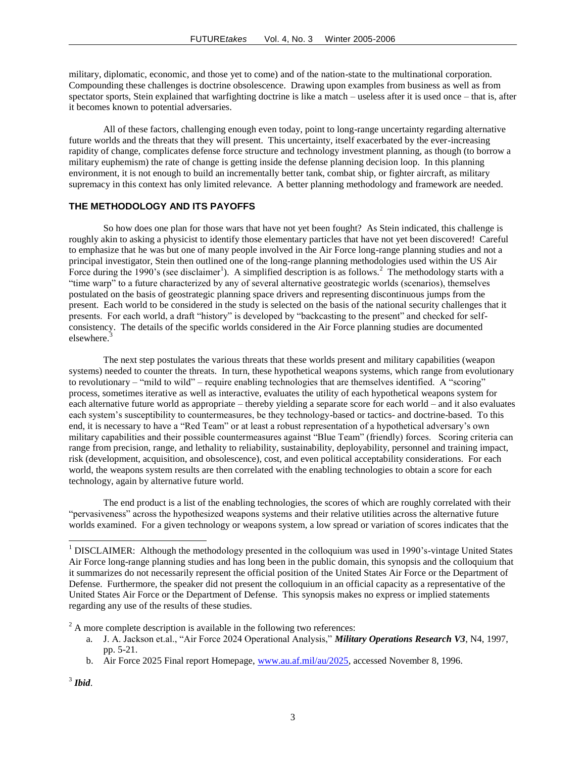military, diplomatic, economic, and those yet to come) and of the nation-state to the multinational corporation. Compounding these challenges is doctrine obsolescence. Drawing upon examples from business as well as from spectator sports, Stein explained that warfighting doctrine is like a match – useless after it is used once – that is, after it becomes known to potential adversaries.

All of these factors, challenging enough even today, point to long-range uncertainty regarding alternative future worlds and the threats that they will present. This uncertainty, itself exacerbated by the ever-increasing rapidity of change, complicates defense force structure and technology investment planning, as though (to borrow a military euphemism) the rate of change is getting inside the defense planning decision loop. In this planning environment, it is not enough to build an incrementally better tank, combat ship, or fighter aircraft, as military supremacy in this context has only limited relevance. A better planning methodology and framework are needed.

### **THE METHODOLOGY AND ITS PAYOFFS**

So how does one plan for those wars that have not yet been fought? As Stein indicated, this challenge is roughly akin to asking a physicist to identify those elementary particles that have not yet been discovered! Careful to emphasize that he was but one of many people involved in the Air Force long-range planning studies and not a principal investigator, Stein then outlined one of the long-range planning methodologies used within the US Air Force during the 1990's (see disclaimer<sup>1</sup>). A simplified description is as follows.<sup>2</sup> The methodology starts with a "time warp" to a future characterized by any of several alternative geostrategic worlds (scenarios), themselves postulated on the basis of geostrategic planning space drivers and representing discontinuous jumps from the present. Each world to be considered in the study is selected on the basis of the national security challenges that it presents. For each world, a draft "history" is developed by "backcasting to the present" and checked for selfconsistency. The details of the specific worlds considered in the Air Force planning studies are documented elsewhere.<sup>3</sup>

The next step postulates the various threats that these worlds present and military capabilities (weapon systems) needed to counter the threats. In turn, these hypothetical weapons systems, which range from evolutionary to revolutionary – "mild to wild" – require enabling technologies that are themselves identified. A "scoring" process, sometimes iterative as well as interactive, evaluates the utility of each hypothetical weapons system for each alternative future world as appropriate – thereby yielding a separate score for each world – and it also evaluates each system's susceptibility to countermeasures, be they technology-based or tactics- and doctrine-based. To this end, it is necessary to have a "Red Team" or at least a robust representation of a hypothetical adversary's own military capabilities and their possible countermeasures against "Blue Team" (friendly) forces. Scoring criteria can range from precision, range, and lethality to reliability, sustainability, deployability, personnel and training impact, risk (development, acquisition, and obsolescence), cost, and even political acceptability considerations. For each world, the weapons system results are then correlated with the enabling technologies to obtain a score for each technology, again by alternative future world.

The end product is a list of the enabling technologies, the scores of which are roughly correlated with their "pervasiveness" across the hypothesized weapons systems and their relative utilities across the alternative future worlds examined. For a given technology or weapons system, a low spread or variation of scores indicates that the

l

<sup>&</sup>lt;sup>1</sup> DISCLAIMER: Although the methodology presented in the colloquium was used in 1990's-vintage United States Air Force long-range planning studies and has long been in the public domain, this synopsis and the colloquium that it summarizes do not necessarily represent the official position of the United States Air Force or the Department of Defense. Furthermore, the speaker did not present the colloquium in an official capacity as a representative of the United States Air Force or the Department of Defense. This synopsis makes no express or implied statements regarding any use of the results of these studies.

 $2^2$  A more complete description is available in the following two references:

a. J. A. Jackson et.al., "Air Force 2024 Operational Analysis," *Military Operations Research V3*, N4, 1997, pp. 5-21.

b. Air Force 2025 Final report Homepage, [www.au.af.mil/au/2025,](http://www.au.af.mil/au/2025) accessed November 8, 1996.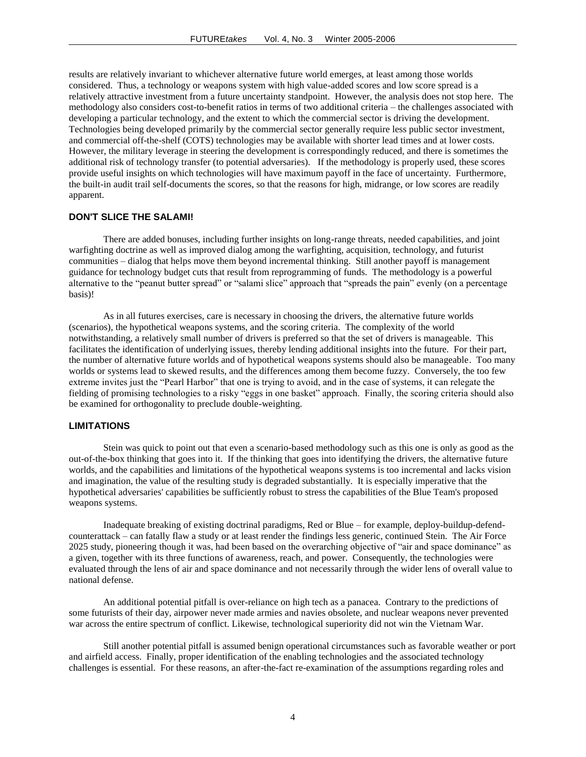results are relatively invariant to whichever alternative future world emerges, at least among those worlds considered. Thus, a technology or weapons system with high value-added scores and low score spread is a relatively attractive investment from a future uncertainty standpoint. However, the analysis does not stop here. The methodology also considers cost-to-benefit ratios in terms of two additional criteria – the challenges associated with developing a particular technology, and the extent to which the commercial sector is driving the development. Technologies being developed primarily by the commercial sector generally require less public sector investment, and commercial off-the-shelf (COTS) technologies may be available with shorter lead times and at lower costs. However, the military leverage in steering the development is correspondingly reduced, and there is sometimes the additional risk of technology transfer (to potential adversaries). If the methodology is properly used, these scores provide useful insights on which technologies will have maximum payoff in the face of uncertainty. Furthermore, the built-in audit trail self-documents the scores, so that the reasons for high, midrange, or low scores are readily apparent.

#### **DON'T SLICE THE SALAMI!**

There are added bonuses, including further insights on long-range threats, needed capabilities, and joint warfighting doctrine as well as improved dialog among the warfighting, acquisition, technology, and futurist communities – dialog that helps move them beyond incremental thinking. Still another payoff is management guidance for technology budget cuts that result from reprogramming of funds. The methodology is a powerful alternative to the "peanut butter spread" or "salami slice" approach that "spreads the pain" evenly (on a percentage basis)!

As in all futures exercises, care is necessary in choosing the drivers, the alternative future worlds (scenarios), the hypothetical weapons systems, and the scoring criteria. The complexity of the world notwithstanding, a relatively small number of drivers is preferred so that the set of drivers is manageable. This facilitates the identification of underlying issues, thereby lending additional insights into the future. For their part, the number of alternative future worlds and of hypothetical weapons systems should also be manageable. Too many worlds or systems lead to skewed results, and the differences among them become fuzzy. Conversely, the too few extreme invites just the "Pearl Harbor" that one is trying to avoid, and in the case of systems, it can relegate the fielding of promising technologies to a risky "eggs in one basket" approach. Finally, the scoring criteria should also be examined for orthogonality to preclude double-weighting.

#### **LIMITATIONS**

Stein was quick to point out that even a scenario-based methodology such as this one is only as good as the out-of-the-box thinking that goes into it. If the thinking that goes into identifying the drivers, the alternative future worlds, and the capabilities and limitations of the hypothetical weapons systems is too incremental and lacks vision and imagination, the value of the resulting study is degraded substantially. It is especially imperative that the hypothetical adversaries' capabilities be sufficiently robust to stress the capabilities of the Blue Team's proposed weapons systems.

Inadequate breaking of existing doctrinal paradigms, Red or Blue – for example, deploy-buildup-defendcounterattack – can fatally flaw a study or at least render the findings less generic, continued Stein. The Air Force 2025 study, pioneering though it was, had been based on the overarching objective of "air and space dominance" as a given, together with its three functions of awareness, reach, and power. Consequently, the technologies were evaluated through the lens of air and space dominance and not necessarily through the wider lens of overall value to national defense.

An additional potential pitfall is over-reliance on high tech as a panacea. Contrary to the predictions of some futurists of their day, airpower never made armies and navies obsolete, and nuclear weapons never prevented war across the entire spectrum of conflict. Likewise, technological superiority did not win the Vietnam War.

Still another potential pitfall is assumed benign operational circumstances such as favorable weather or port and airfield access. Finally, proper identification of the enabling technologies and the associated technology challenges is essential. For these reasons, an after-the-fact re-examination of the assumptions regarding roles and